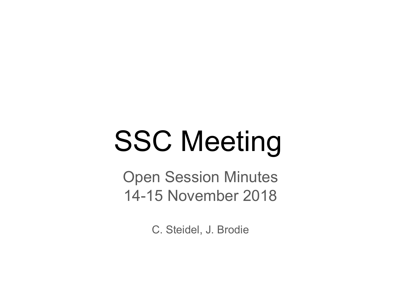# SSC Meeting

Open Session Minutes 14-15 November 2018

C. Steidel, J. Brodie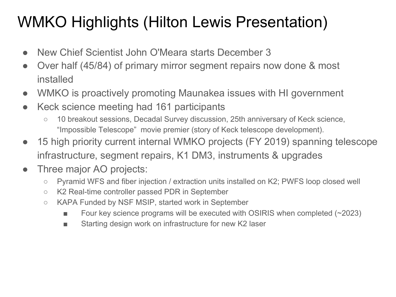# WMKO Highlights (Hilton Lewis Presentation)

- New Chief Scientist John O'Meara starts December 3
- Over half (45/84) of primary mirror segment repairs now done & most installed
- WMKO is proactively promoting Maunakea issues with HI government
- Keck science meeting had 161 participants
	- 10 breakout sessions, Decadal Survey discussion, 25th anniversary of Keck science, "Impossible Telescope" movie premier (story of Keck telescope development).
- 15 high priority current internal WMKO projects (FY 2019) spanning telescope infrastructure, segment repairs, K1 DM3, instruments & upgrades
- Three major AO projects:
	- Pyramid WFS and fiber injection / extraction units installed on K2; PWFS loop closed well
	- K2 Real-time controller passed PDR in September
	- KAPA Funded by NSF MSIP, started work in September
		- $\blacksquare$  Four key science programs will be executed with OSIRIS when completed (~2023)
		- Starting design work on infrastructure for new K2 laser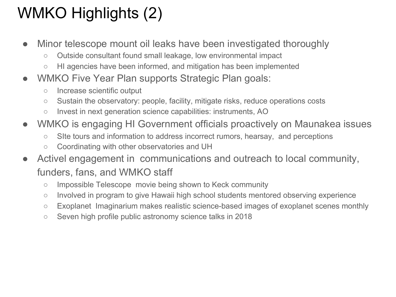# WMKO Highlights (2)

- Minor telescope mount oil leaks have been investigated thoroughly
	- Outside consultant found small leakage, low environmental impact
	- HI agencies have been informed, and mitigation has been implemented
- WMKO Five Year Plan supports Strategic Plan goals:
	- Increase scientific output
	- Sustain the observatory: people, facility, mitigate risks, reduce operations costs
	- Invest in next generation science capabilities: instruments, AO
- WMKO is engaging HI Government officials proactively on Maunakea issues
	- SIte tours and information to address incorrect rumors, hearsay, and perceptions
	- Coordinating with other observatories and UH
- Activel engagement in communications and outreach to local community, funders, fans, and WMKO staff
	- Impossible Telescope movie being shown to Keck community
	- Involved in program to give Hawaii high school students mentored observing experience
	- Exoplanet Imaginarium makes realistic science-based images of exoplanet scenes monthly
	- Seven high profile public astronomy science talks in 2018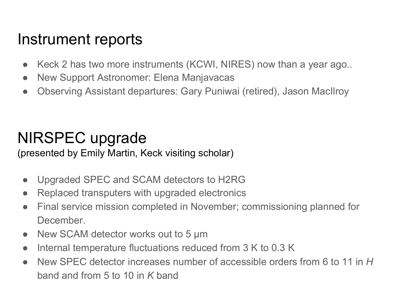#### Instrument reports

- Keck 2 has two more instruments (KCWI, NIRES) now than a year ago...
- New Support Astronomer: Elena Manjavacas
- Observing Assistant departures: Gary Puniwai (retired), Jason MacIlroy

## NIRSPEC upgrade

(presented by Emily Martin, Keck visiting scholar)

- Upgraded SPEC and SCAM detectors to H2RG
- Replaced transputers with upgraded electronics
- Final service mission completed in November; commissioning planned for December.
- New SCAM detector works out to 5  $\mu$ m
- Internal temperature fluctuations reduced from 3 K to 0.3 K
- New SPEC detector increases number of accessible orders from 6 to 11 in *H* band and from 5 to 10 in *K* band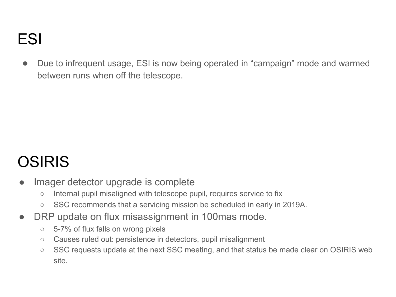### ESI

● Due to infrequent usage, ESI is now being operated in "campaign" mode and warmed between runs when off the telescope.

# OSIRIS

- Imager detector upgrade is complete
	- Internal pupil misaligned with telescope pupil, requires service to fix
	- SSC recommends that a servicing mission be scheduled in early in 2019A.
- DRP update on flux misassignment in 100 mas mode.
	- 5-7% of flux falls on wrong pixels
	- Causes ruled out: persistence in detectors, pupil misalignment
	- SSC requests update at the next SSC meeting, and that status be made clear on OSIRIS web site.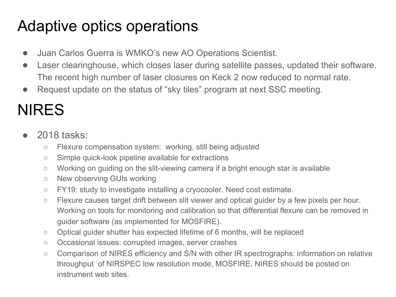## Adaptive optics operations

- Juan Carlos Guerra is WMKO's new AO Operations Scientist.
- Laser clearinghouse, which closes laser during satellite passes, updated their software. The recent high number of laser closures on Keck 2 now reduced to normal rate.
- Request update on the status of "sky tiles" program at next SSC meeting.

# NIRES

- 2018 tasks:
	- Flexure compensation system: working, still being adjusted
	- Simple quick-look pipeline available for extractions
	- Working on guiding on the slit-viewing camera if a bright enough star is available
	- New observing GUIs working
	- FY19: study to investigate installing a cryocooler. Need cost estimate.
	- Flexure causes target drift between slit viewer and optical guider by a few pixels per hour. Working on tools for monitoring and calibration so that differential flexure can be removed in guider software (as implemented for MOSFIRE).
	- Optical quider shutter has expected lifetime of 6 months, will be replaced
	- Occasional issues: corrupted images, server crashes
	- Comparison of NIRES efficiency and S/N with other IR spectrographs: information on relative throughput of NIRSPEC low resolution mode, MOSFIRE, NIRES should be posted on instrument web sites.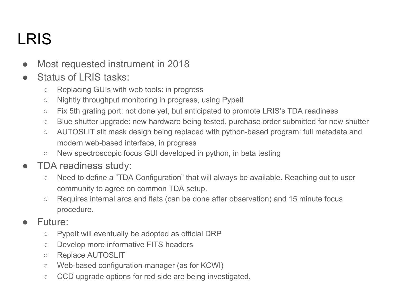# LRIS

- Most requested instrument in 2018
- Status of LRIS tasks:
	- Replacing GUIs with web tools: in progress
	- Nightly throughput monitoring in progress, using Pypeit
	- Fix 5th grating port: not done yet, but anticipated to promote LRIS's TDA readiness
	- Blue shutter upgrade: new hardware being tested, purchase order submitted for new shutter
	- AUTOSLIT slit mask design being replaced with python-based program: full metadata and modern web-based interface, in progress
	- New spectroscopic focus GUI developed in python, in beta testing
- TDA readiness study:
	- Need to define a "TDA Configuration" that will always be available. Reaching out to user community to agree on common TDA setup.
	- Requires internal arcs and flats (can be done after observation) and 15 minute focus procedure.
- Future:
	- PypeIt will eventually be adopted as official DRP
	- Develop more informative FITS headers
	- Replace AUTOSLIT
	- Web-based configuration manager (as for KCWI)
	- CCD upgrade options for red side are being investigated.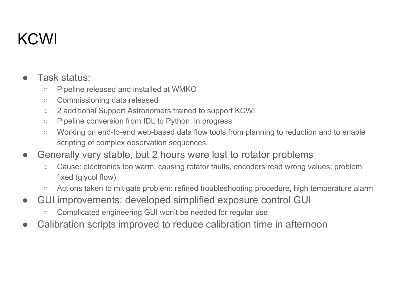# KCWI

#### Task status:

- Pipeline released and installed at WMKO
- Commissioning data released
- 2 additional Support Astronomers trained to support KCWI
- Pipeline conversion from IDL to Python: in progress
- Working on end-to-end web-based data flow tools from planning to reduction and to enable scripting of complex observation sequences.
- Generally very stable, but 2 hours were lost to rotator problems
	- Cause: electronics too warm, causing rotator faults, encoders read wrong values; problem fixed (glycol flow).
	- Actions taken to mitigate problem: refined troubleshooting procedure, high temperature alarm
- GUI improvements: developed simplified exposure control GUI
	- Complicated engineering GUI won't be needed for regular use
- Calibration scripts improved to reduce calibration time in afternoon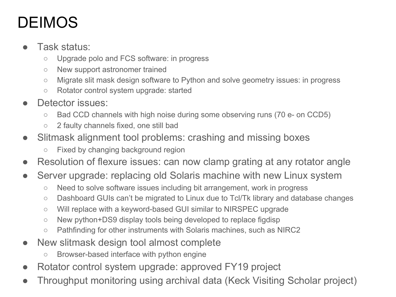# DEIMOS

- Task status:
	- Upgrade polo and FCS software: in progress
	- New support astronomer trained
	- Migrate slit mask design software to Python and solve geometry issues: in progress
	- Rotator control system upgrade: started
- Detector issues:
	- Bad CCD channels with high noise during some observing runs (70 e- on CCD5)
	- 2 faulty channels fixed, one still bad
- Slitmask alignment tool problems: crashing and missing boxes
	- Fixed by changing background region
- Resolution of flexure issues: can now clamp grating at any rotator angle
- Server upgrade: replacing old Solaris machine with new Linux system
	- Need to solve software issues including bit arrangement, work in progress
	- Dashboard GUIs can't be migrated to Linux due to Tcl/Tk library and database changes
	- Will replace with a keyword-based GUI similar to NIRSPEC upgrade
	- New python+DS9 display tools being developed to replace figdisp
	- Pathfinding for other instruments with Solaris machines, such as NIRC2
- New slitmask design tool almost complete
	- Browser-based interface with python engine
- Rotator control system upgrade: approved FY19 project
- Throughput monitoring using archival data (Keck Visiting Scholar project)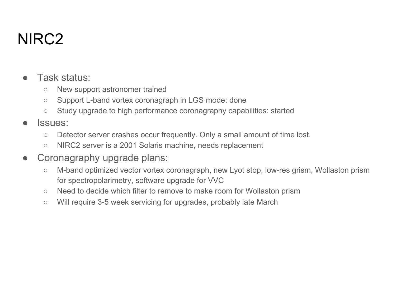## NIRC2

- Task status:
	- New support astronomer trained
	- Support L-band vortex coronagraph in LGS mode: done
	- Study upgrade to high performance coronagraphy capabilities: started
- Issues:
	- Detector server crashes occur frequently. Only a small amount of time lost.
	- NIRC2 server is a 2001 Solaris machine, needs replacement
- Coronagraphy upgrade plans:
	- M-band optimized vector vortex coronagraph, new Lyot stop, low-res grism, Wollaston prism for spectropolarimetry, software upgrade for VVC
	- Need to decide which filter to remove to make room for Wollaston prism
	- Will require 3-5 week servicing for upgrades, probably late March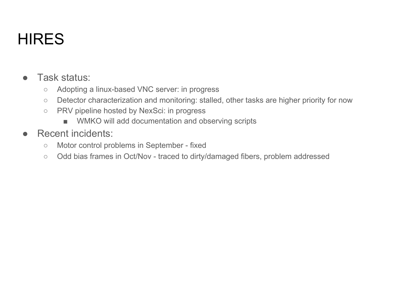# **HIRES**

- Task status:
	- Adopting a linux-based VNC server: in progress
	- Detector characterization and monitoring: stalled, other tasks are higher priority for now
	- PRV pipeline hosted by NexSci: in progress
		- WMKO will add documentation and observing scripts
- **Recent incidents:** 
	- Motor control problems in September fixed
	- Odd bias frames in Oct/Nov traced to dirty/damaged fibers, problem addressed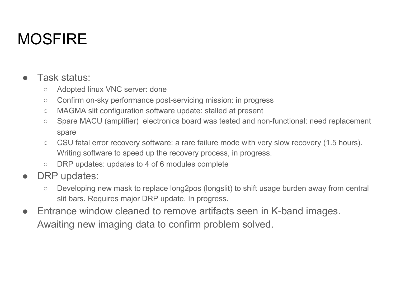# **MOSFIRE**

- Task status:
	- Adopted linux VNC server: done
	- Confirm on-sky performance post-servicing mission: in progress
	- MAGMA slit configuration software update: stalled at present
	- Spare MACU (amplifier) electronics board was tested and non-functional: need replacement spare
	- CSU fatal error recovery software: a rare failure mode with very slow recovery (1.5 hours). Writing software to speed up the recovery process, in progress.
	- DRP updates: updates to 4 of 6 modules complete
- DRP updates:
	- Developing new mask to replace long2pos (longslit) to shift usage burden away from central slit bars. Requires major DRP update. In progress.
- Entrance window cleaned to remove artifacts seen in K-band images. Awaiting new imaging data to confirm problem solved.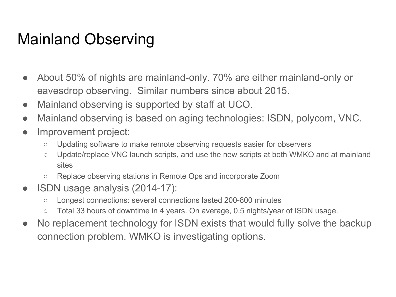#### Mainland Observing

- About 50% of nights are mainland-only. 70% are either mainland-only or eavesdrop observing. Similar numbers since about 2015.
- Mainland observing is supported by staff at UCO.
- Mainland observing is based on aging technologies: ISDN, polycom, VNC.
- Improvement project:
	- Updating software to make remote observing requests easier for observers
	- Update/replace VNC launch scripts, and use the new scripts at both WMKO and at mainland sites
	- Replace observing stations in Remote Ops and incorporate Zoom
- ISDN usage analysis (2014-17):
	- Longest connections: several connections lasted 200-800 minutes
	- Total 33 hours of downtime in 4 years. On average, 0.5 nights/year of ISDN usage.
- No replacement technology for ISDN exists that would fully solve the backup connection problem. WMKO is investigating options.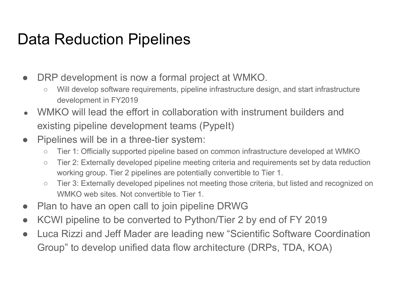#### Data Reduction Pipelines

- DRP development is now a formal project at WMKO.
	- Will develop software requirements, pipeline infrastructure design, and start infrastructure development in FY2019
- WMKO will lead the effort in collaboration with instrument builders and existing pipeline development teams (PypeIt)
- Pipelines will be in a three-tier system:
	- Tier 1: Officially supported pipeline based on common infrastructure developed at WMKO
	- Tier 2: Externally developed pipeline meeting criteria and requirements set by data reduction working group. Tier 2 pipelines are potentially convertible to Tier 1.
	- Tier 3: Externally developed pipelines not meeting those criteria, but listed and recognized on WMKO web sites. Not convertible to Tier 1.
- Plan to have an open call to join pipeline DRWG
- KCWI pipeline to be converted to Python/Tier 2 by end of FY 2019
- Luca Rizzi and Jeff Mader are leading new "Scientific Software Coordination Group" to develop unified data flow architecture (DRPs, TDA, KOA)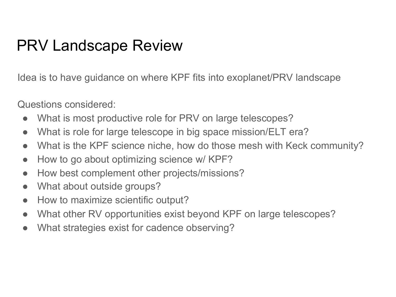#### PRV Landscape Review

Idea is to have guidance on where KPF fits into exoplanet/PRV landscape

Questions considered:

- What is most productive role for PRV on large telescopes?
- What is role for large telescope in big space mission/ELT era?
- What is the KPF science niche, how do those mesh with Keck community?
- How to go about optimizing science w/ KPF?
- How best complement other projects/missions?
- What about outside groups?
- How to maximize scientific output?
- What other RV opportunities exist beyond KPF on large telescopes?
- What strategies exist for cadence observing?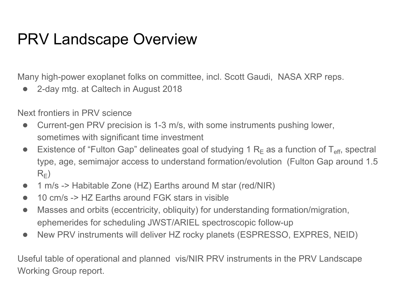#### PRV Landscape Overview

Many high-power exoplanet folks on committee, incl. Scott Gaudi, NASA XRP reps.

● 2-day mtg. at Caltech in August 2018

Next frontiers in PRV science

- Current-gen PRV precision is 1-3 m/s, with some instruments pushing lower, sometimes with significant time investment
- Existence of "Fulton Gap" delineates goal of studying 1  $R_F$  as a function of T<sub>eff</sub>, spectral type, age, semimajor access to understand formation/evolution (Fulton Gap around 1.5  $R_F$ )
- 1 m/s -> Habitable Zone (HZ) Earths around M star (red/NIR)
- 10 cm/s -> HZ Earths around FGK stars in visible
- Masses and orbits (eccentricity, obliquity) for understanding formation/migration, ephemerides for scheduling JWST/ARIEL spectroscopic follow-up
- New PRV instruments will deliver HZ rocky planets (ESPRESSO, EXPRES, NEID)

Useful table of operational and planned vis/NIR PRV instruments in the PRV Landscape Working Group report.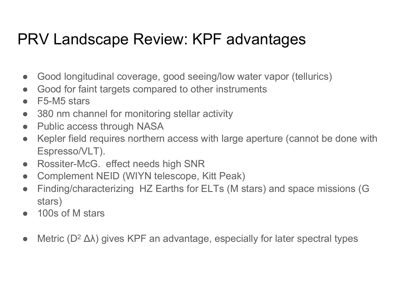## PRV Landscape Review: KPF advantages

- Good longitudinal coverage, good seeing/low water vapor (tellurics)
- Good for faint targets compared to other instruments
- F5-M5 stars
- 380 nm channel for monitoring stellar activity
- Public access through NASA
- Kepler field requires northern access with large aperture (cannot be done with Espresso/VLT).
- Rossiter-McG. effect needs high SNR
- Complement NEID (WIYN telescope, Kitt Peak)
- Finding/characterizing HZ Earths for ELTs (M stars) and space missions (G stars)
- 100s of M stars
- Metric  $(D^2 \Delta \lambda)$  gives KPF an advantage, especially for later spectral types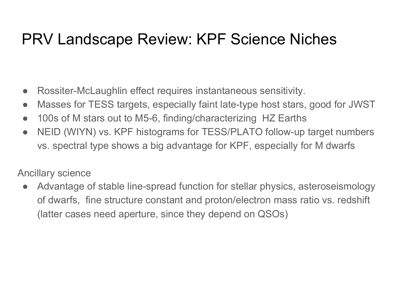#### PRV Landscape Review: KPF Science Niches

- Rossiter-McLaughlin effect requires instantaneous sensitivity.
- Masses for TESS targets, especially faint late-type host stars, good for JWST
- 100s of M stars out to M5-6, finding/characterizing HZ Earths
- NEID (WIYN) vs. KPF histograms for TESS/PLATO follow-up target numbers vs. spectral type shows a big advantage for KPF, especially for M dwarfs

#### Ancillary science

• Advantage of stable line-spread function for stellar physics, asteroseismology of dwarfs, fine structure constant and proton/electron mass ratio vs. redshift (latter cases need aperture, since they depend on QSOs)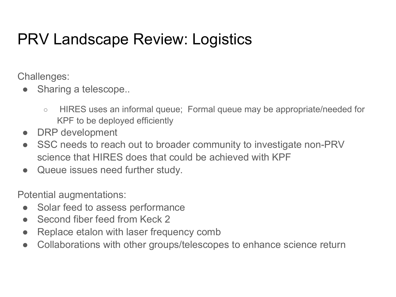## PRV Landscape Review: Logistics

Challenges:

- Sharing a telescope...
	- HIRES uses an informal queue; Formal queue may be appropriate/needed for KPF to be deployed efficiently
- DRP development
- SSC needs to reach out to broader community to investigate non-PRV science that HIRES does that could be achieved with KPF
- Queue issues need further study.

Potential augmentations:

- Solar feed to assess performance
- Second fiber feed from Keck 2
- Replace etalon with laser frequency comb
- Collaborations with other groups/telescopes to enhance science return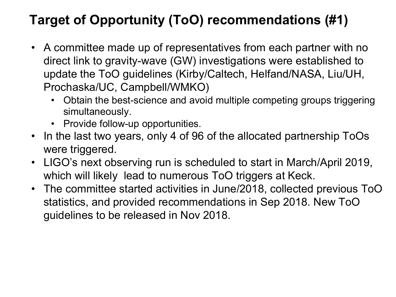#### **Target of Opportunity (ToO) recommendations (#1)**

- A committee made up of representatives from each partner with no direct link to gravity-wave (GW) investigations were established to update the ToO guidelines (Kirby/Caltech, Helfand/NASA, Liu/UH, Prochaska/UC, Campbell/WMKO)
	- Obtain the best-science and avoid multiple competing groups triggering simultaneously.
	- Provide follow-up opportunities.
- In the last two years, only 4 of 96 of the allocated partnership ToOs were triggered.
- LIGO's next observing run is scheduled to start in March/April 2019, which will likely lead to numerous ToO triggers at Keck.
- The committee started activities in June/2018, collected previous ToO statistics, and provided recommendations in Sep 2018. New ToO guidelines to be released in Nov 2018.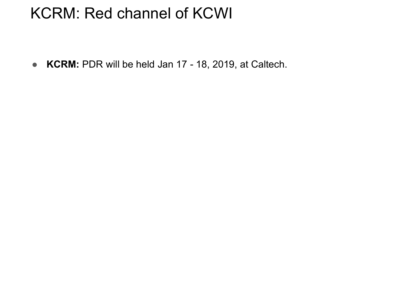#### KCRM: Red channel of KCWI

● **KCRM:** PDR will be held Jan 17 - 18, 2019, at Caltech.